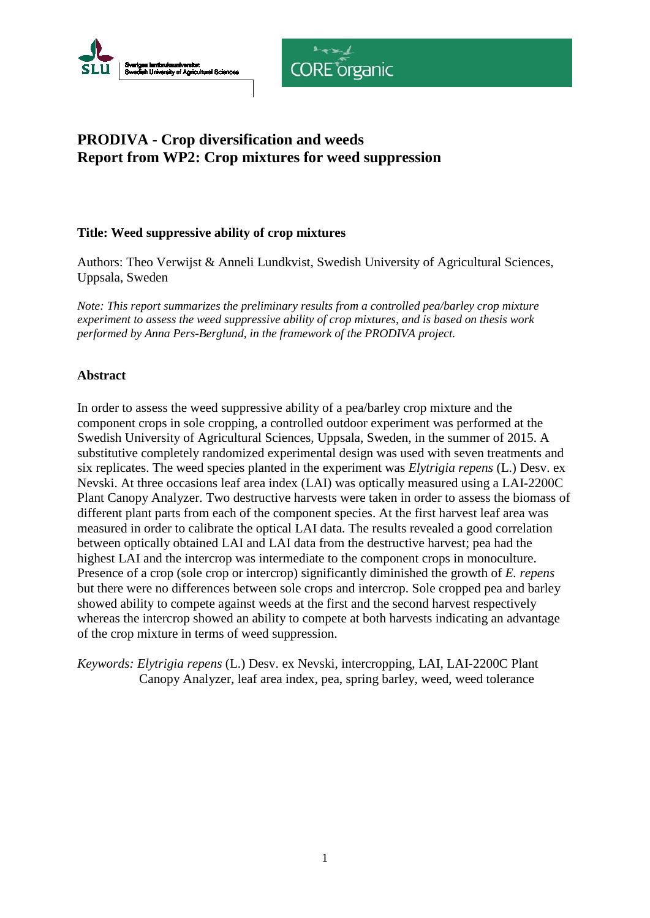



# **PRODIVA - Crop diversification and weeds Report from WP2: Crop mixtures for weed suppression**

## **Title: Weed suppressive ability of crop mixtures**

Authors: Theo Verwijst & Anneli Lundkvist, Swedish University of Agricultural Sciences, Uppsala, Sweden

*Note: This report summarizes the preliminary results from a controlled pea/barley crop mixture experiment to assess the weed suppressive ability of crop mixtures, and is based on thesis work performed by Anna Pers-Berglund, in the framework of the PRODIVA project.*

## **Abstract**

In order to assess the weed suppressive ability of a pea/barley crop mixture and the component crops in sole cropping, a controlled outdoor experiment was performed at the Swedish University of Agricultural Sciences, Uppsala, Sweden, in the summer of 2015. A substitutive completely randomized experimental design was used with seven treatments and six replicates. The weed species planted in the experiment was *Elytrigia repens* (L.) Desv. ex Nevski. At three occasions leaf area index (LAI) was optically measured using a LAI-2200C Plant Canopy Analyzer. Two destructive harvests were taken in order to assess the biomass of different plant parts from each of the component species. At the first harvest leaf area was measured in order to calibrate the optical LAI data. The results revealed a good correlation between optically obtained LAI and LAI data from the destructive harvest; pea had the highest LAI and the intercrop was intermediate to the component crops in monoculture. Presence of a crop (sole crop or intercrop) significantly diminished the growth of *E. repens*  but there were no differences between sole crops and intercrop. Sole cropped pea and barley showed ability to compete against weeds at the first and the second harvest respectively whereas the intercrop showed an ability to compete at both harvests indicating an advantage of the crop mixture in terms of weed suppression.

*Keywords: Elytrigia repens* (L.) Desv. ex Nevski, intercropping, LAI, LAI-2200C Plant Canopy Analyzer, leaf area index, pea, spring barley, weed, weed tolerance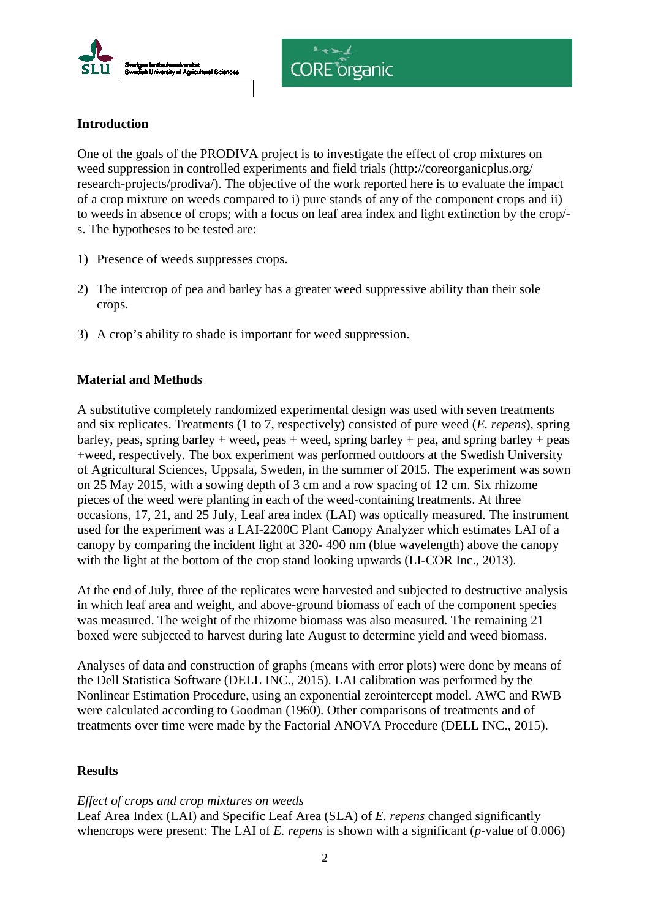



## **Introduction**

One of the goals of the PRODIVA project is to investigate the effect of crop mixtures on weed suppression in controlled experiments and field trials (http://coreorganicplus.org/ research-projects/prodiva/). The objective of the work reported here is to evaluate the impact of a crop mixture on weeds compared to i) pure stands of any of the component crops and ii) to weeds in absence of crops; with a focus on leaf area index and light extinction by the crop/ s. The hypotheses to be tested are:

- 1) Presence of weeds suppresses crops.
- 2) The intercrop of pea and barley has a greater weed suppressive ability than their sole crops.
- 3) A crop's ability to shade is important for weed suppression.

## **Material and Methods**

A substitutive completely randomized experimental design was used with seven treatments and six replicates. Treatments (1 to 7, respectively) consisted of pure weed (*E. repens*), spring barley, peas, spring barley + weed, peas + weed, spring barley + pea, and spring barley + peas +weed, respectively. The box experiment was performed outdoors at the Swedish University of Agricultural Sciences, Uppsala, Sweden, in the summer of 2015. The experiment was sown on 25 May 2015, with a sowing depth of 3 cm and a row spacing of 12 cm. Six rhizome pieces of the weed were planting in each of the weed-containing treatments. At three occasions, 17, 21, and 25 July, Leaf area index (LAI) was optically measured. The instrument used for the experiment was a LAI-2200C Plant Canopy Analyzer which estimates LAI of a canopy by comparing the incident light at 320- 490 nm (blue wavelength) above the canopy with the light at the bottom of the crop stand looking upwards (LI-COR Inc., 2013).

At the end of July, three of the replicates were harvested and subjected to destructive analysis in which leaf area and weight, and above-ground biomass of each of the component species was measured. The weight of the rhizome biomass was also measured. The remaining 21 boxed were subjected to harvest during late August to determine yield and weed biomass.

Analyses of data and construction of graphs (means with error plots) were done by means of the Dell Statistica Software (DELL INC., 2015). LAI calibration was performed by the Nonlinear Estimation Procedure, using an exponential zerointercept model. AWC and RWB were calculated according to Goodman (1960). Other comparisons of treatments and of treatments over time were made by the Factorial ANOVA Procedure (DELL INC., 2015).

### **Results**

### *Effect of crops and crop mixtures on weeds*

Leaf Area Index (LAI) and Specific Leaf Area (SLA) of *E. repens* changed significantly whencrops were present: The LAI of *E. repens* is shown with a significant (*p-*value of 0.006)